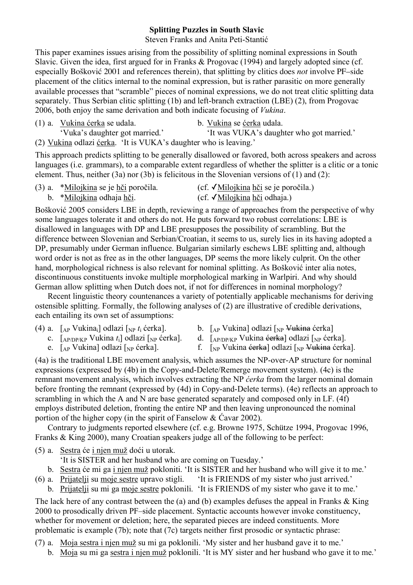## **Splitting Puzzles in South Slavic**

Steven Franks and Anita Peti-Stantić

This paper examines issues arising from the possibility of splitting nominal expressions in South Slavic. Given the idea, first argued for in Franks & Progovac (1994) and largely adopted since (cf. especially Bošković 2001 and references therein), that splitting by clitics does *not* involve PF–side placement of the clitics internal to the nominal expression, but is rather parasitic on more generally available processes that "scramble" pieces of nominal expressions, we do not treat clitic splitting data separately. Thus Serbian clitic splitting (1b) and left-branch extraction (LBE) (2), from Progovac 2006, both enjoy the same derivation and both indicate focusing of *Vukina*.

- (1) a. Vukina ćerka se udala. b. Vukina se ćerka udala.
- 

'Vuka's daughter got married.' 'It was VUKA's daughter who got married.'

(2) Vukina odlazi ćerka. 'It is VUKA's daughter who is leaving.'

This approach predicts splitting to be generally disallowed or favored, both across speakers and across languages (i.e. grammars), to a comparable extent regardless of whether the splitter is a clitic or a tonic element. Thus, neither (3a) nor (3b) is felicitous in the Slovenian versions of (1) and (2):

| (3) a. *Milojkina se je hči poročila. | (cf. √ <u>Milojkina hči</u> se je poročila.) |
|---------------------------------------|----------------------------------------------|
| b. * <u>Milojkina</u> odhaja hči.     | (cf. √ <u>Milojkina hči</u> odhaja.)         |

Bošković 2005 considers LBE in depth, reviewing a range of approaches from the perspective of why some languages tolerate it and others do not. He puts forward two robust correlations: LBE is disallowed in languages with DP and LBE presupposes the possibility of scrambling. But the difference between Slovenian and Serbian/Croatian, it seems to us, surely lies in its having adopted a DP, presumably under German influence. Bulgarian similarly eschews LBE splitting and, although word order is not as free as in the other languages, DP seems the more likely culprit. On the other hand, morphological richness is also relevant for nominal splitting. As Bošković inter alia notes, discontinuous constituents invoke multiple morphological marking in Warlpiri. And why should German allow splitting when Dutch does not, if not for differences in nominal morphology?

Recent linguistic theory countenances a variety of potentially applicable mechanisms for deriving ostensible splitting. Formally, the following analyses of (2) are illustrative of credible derivations, each entailing its own set of assumptions:

- 
- (4) a. [<sub>AP</sub> Vukina<sub>i</sub>] odlazi [<sub>NP</sub> *t<sub>i</sub>* ćerka]. b. [<sub>AP</sub> Vukina] odlazi [<sub>NP</sub> <del>Vukina</del> ćerka]<br>c. [<sub>AP/DP/KP</sub> Vukina *t<sub>i</sub>*] odlazi [<sub>NP</sub> ćerka]. d. [<sub>AP/DP/KP</sub> Vukina <del>ćerka</del>] odlazi [<sub>NP</sub> ćerk
	- d. [AP/DP/KP Vukina <del>ćerka</del>] odlazi [<sub>NP</sub> ćerka].
	-
	- e.  $\left[AP\text{Vukina}\right]$  odlazi  $\left[NP\right]$  ( $\left[NP\right]$  f.  $\left[NP\right]$  vukina <del>ćerka</del>] odlazi  $\left[NP\right]$  vukina ćerka].

(4a) is the traditional LBE movement analysis, which assumes the NP-over-AP structure for nominal expressions (expressed by (4b) in the Copy-and-Delete/Remerge movement system). (4c) is the remnant movement analysis, which involves extracting the NP *ćerka* from the larger nominal domain before fronting the remnant (expressed by (4d) in Copy-and-Delete terms). (4e) reflects an approach to scrambling in which the A and N are base generated separately and composed only in LF. (4f) employs distributed deletion, fronting the entire NP and then leaving unpronounced the nominal portion of the higher copy (in the spirit of Fanselow  $& \text{Cavar } 2002$ ).

Contrary to judgments reported elsewhere (cf. e.g. Browne 1975, Schütze 1994, Progovac 1996, Franks & King 2000), many Croatian speakers judge all of the following to be perfect:

- (5) a. Sestra će i njen muž doći u utorak.
	- 'It is SISTER and her husband who are coming on Tuesday.'
	- b. Sestra će mi ga i njen muž pokloniti. 'It is SISTER and her husband who will give it to me.'
- (6) a. Prijatelji su moje sestre upravo stigli. 'It is FRIENDS of my sister who just arrived.'
	- b. Prijatelji su mi ga moje sestre poklonili. 'It is FRIENDS of my sister who gave it to me.'

The lack here of any contrast between the (a) and (b) examples defuses the appeal in Franks & King 2000 to prosodically driven PF–side placement. Syntactic accounts however invoke constituency, whether for movement or deletion; here, the separated pieces are indeed constituents. More problematic is example (7b); note that (7c) targets neither first prosodic or syntactic phrase:

- (7) a. Moja sestra i njen muž su mi ga poklonili. 'My sister and her husband gave it to me.'
	- b. Moja su mi ga sestra i njen muž poklonili. 'It is MY sister and her husband who gave it to me.'